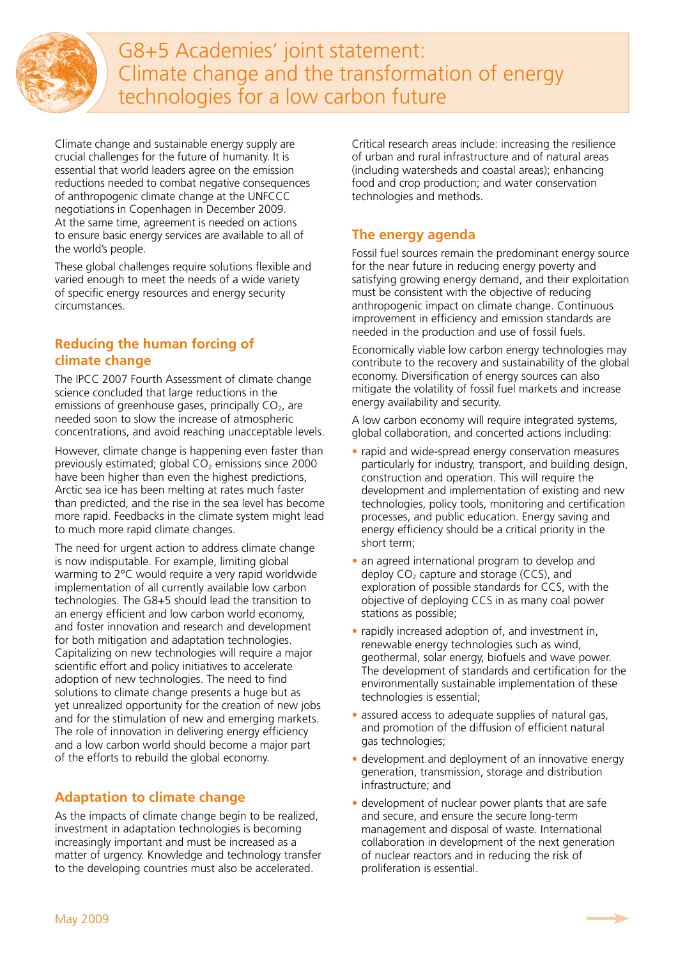

G8+5 Academies' joint statement: Climate change and the transformation of energy technologies for a low carbon future

Climate change and sustainable energy supply are crucial challenges for the future of humanity. It is essential that world leaders agree on the emission reductions needed to combat negative consequences of anthropogenic climate change at the UNFCCC negotiations in Copenhagen in December 2009. At the same time, agreement is needed on actions to ensure basic energy services are available to all of the world's people.

These global challenges require solutions flexible and varied enough to meet the needs of a wide variety of specific energy resources and energy security circumstances.

## **Reducing the human forcing of climate change**

The IPCC 2007 Fourth Assessment of climate change science concluded that large reductions in the emissions of greenhouse gases, principally  $CO<sub>2</sub>$ , are needed soon to slow the increase of atmospheric concentrations, and avoid reaching unacceptable levels.

However, climate change is happening even faster than previously estimated; global  $CO<sub>2</sub>$  emissions since 2000 have been higher than even the highest predictions, Arctic sea ice has been melting at rates much faster than predicted, and the rise in the sea level has become more rapid. Feedbacks in the climate system might lead to much more rapid climate changes.

The need for urgent action to address climate change is now indisputable. For example, limiting global warming to 2°C would require a very rapid worldwide implementation of all currently available low carbon technologies. The G8+5 should lead the transition to an energy efficient and low carbon world economy, and foster innovation and research and development for both mitigation and adaptation technologies. Capitalizing on new technologies will require a major scientific effort and policy initiatives to accelerate adoption of new technologies. The need to find solutions to climate change presents a huge but as yet unrealized opportunity for the creation of new jobs and for the stimulation of new and emerging markets. The role of innovation in delivering energy efficiency and a low carbon world should become a major part of the efforts to rebuild the global economy.

## **Adaptation to climate change**

As the impacts of climate change begin to be realized, investment in adaptation technologies is becoming increasingly important and must be increased as a matter of urgency. Knowledge and technology transfer to the developing countries must also be accelerated.

Critical research areas include: increasing the resilience of urban and rural infrastructure and of natural areas (including watersheds and coastal areas); enhancing food and crop production; and water conservation technologies and methods.

## **The energy agenda**

Fossil fuel sources remain the predominant energy source for the near future in reducing energy poverty and satisfying growing energy demand, and their exploitation must be consistent with the objective of reducing anthropogenic impact on climate change. Continuous improvement in efficiency and emission standards are needed in the production and use of fossil fuels.

Economically viable low carbon energy technologies may contribute to the recovery and sustainability of the global economy. Diversification of energy sources can also mitigate the volatility of fossil fuel markets and increase energy availability and security.

A low carbon economy will require integrated systems, global collaboration, and concerted actions including:

- rapid and wide-spread energy conservation measures particularly for industry, transport, and building design, construction and operation. This will require the development and implementation of existing and new technologies, policy tools, monitoring and certification processes, and public education. Energy saving and energy efficiency should be a critical priority in the short term;
- an agreed international program to develop and deploy  $CO<sub>2</sub>$  capture and storage (CCS), and exploration of possible standards for CCS, with the objective of deploying CCS in as many coal power stations as possible;
- rapidly increased adoption of, and investment in, renewable energy technologies such as wind, geothermal, solar energy, biofuels and wave power. The development of standards and certification for the environmentally sustainable implementation of these technologies is essential;
- assured access to adequate supplies of natural gas, and promotion of the diffusion of efficient natural gas technologies;
- development and deployment of an innovative energy generation, transmission, storage and distribution infrastructure; and
- development of nuclear power plants that are safe and secure, and ensure the secure long-term management and disposal of waste. International collaboration in development of the next generation of nuclear reactors and in reducing the risk of proliferation is essential.